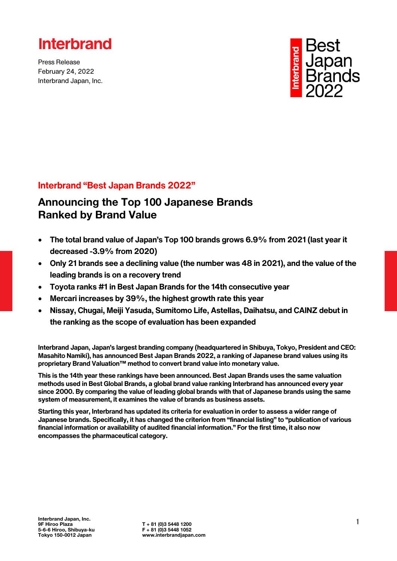

Press Release February 24, 2022 Interbrand Japan, Inc.



### **Interbrand "Best Japan Brands 2022"**

### Announcing the Top 100 Japanese Brands Ranked by Brand Value

- **The total brand value of Japan's Top 100 brands grows 6.9% from 2021 (last year it decreased -3.9% from 2020)**
- **Only 21 brands see a declining value (the number was 48 in 2021), and the value of the leading brands is on a recovery trend**
- **Toyota ranks #1 in Best Japan Brands for the 14th consecutive year**
- **Mercari increases by 39%, the highest growth rate this year**
- **Nissay, Chugai, Meiji Yasuda, Sumitomo Life, Astellas, Daihatsu, and CAINZ debut in the ranking as the scope of evaluation has been expanded**

**Interbrand Japan, Japan's largest branding company (headquartered in Shibuya, Tokyo, President and CEO: Masahito Namiki), has announced Best Japan Brands 2022, a ranking of Japanese brand values using its proprietary Brand Valuation™ method to convert brand value into monetary value.**

**This is the 14th year these rankings have been announced. Best Japan Brands uses the same valuation methods used in Best Global Brands, a global brand value ranking Interbrand has announced every year since 2000. By comparing the value of leading global brands with that of Japanese brands using the same system of measurement, it examines the value of brands as business assets.**

**Starting this year, Interbrand has updated its criteria for evaluation in order to assess a wider range of Japanese brands. Specifically, it has changed the criterion from "financial listing" to "publication of various financial information or availability of audited financial information." For the first time, it also now encompasses the pharmaceutical category.**

 $T + 81 (0)3 5448 1200$ <br>F + 81 (0)3 5448 1052 www.interbrandiapan.com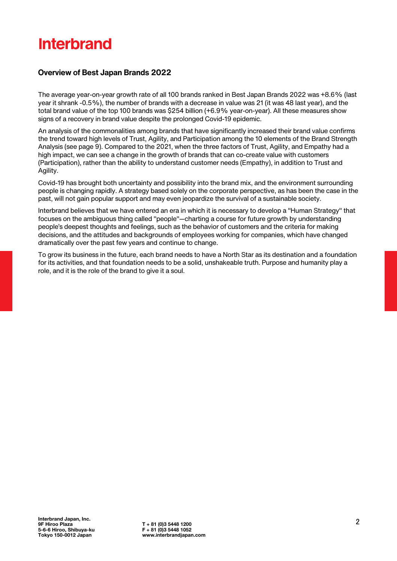### **Overview of Best Japan Brands 2022**

The average year-on-year growth rate of all 100 brands ranked in Best Japan Brands 2022 was +8.6% (last year it shrank -0.5%), the number of brands with a decrease in value was 21 (it was 48 last year), and the total brand value of the top 100 brands was \$254 billion (+6.9% year-on-year). All these measures show signs of a recovery in brand value despite the prolonged Covid-19 epidemic.

An analysis of the commonalities among brands that have significantly increased their brand value confirms the trend toward high levels of Trust, Agility, and Participation among the 10 elements of the Brand Strength Analysis (see page 9). Compared to the 2021, when the three factors of Trust, Agility, and Empathy had a high impact, we can see a change in the growth of brands that can co-create value with customers (Participation), rather than the ability to understand customer needs (Empathy), in addition to Trust and Agility.

Covid-19 has brought both uncertainty and possibility into the brand mix, and the environment surrounding people is changing rapidly. A strategy based solely on the corporate perspective, as has been the case in the past, will not gain popular support and may even jeopardize the survival of a sustainable society.

Interbrand believes that we have entered an era in which it is necessary to develop a "Human Strategy" that focuses on the ambiguous thing called "people"—charting a course for future growth by understanding people's deepest thoughts and feelings, such as the behavior of customers and the criteria for making decisions, and the attitudes and backgrounds of employees working for companies, which have changed dramatically over the past few years and continue to change.

To grow its business in the future, each brand needs to have a North Star as its destination and a foundation for its activities, and that foundation needs to be a solid, unshakeable truth. Purpose and humanity play a role, and it is the role of the brand to give it a soul.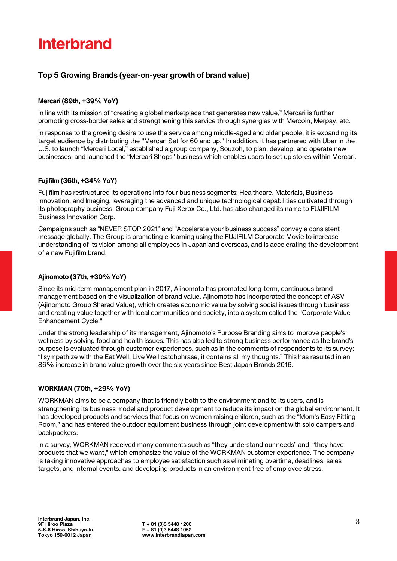### **Top 5 Growing Brands (year-on-year growth of brand value)**

#### **Mercari (89th, +39% YoY)**

In line with its mission of "creating a global marketplace that generates new value," Mercari is further promoting cross-border sales and strengthening this service through synergies with Mercoin, Merpay, etc.

In response to the growing desire to use the service among middle-aged and older people, it is expanding its target audience by distributing the "Mercari Set for 60 and up." In addition, it has partnered with Uber in the U.S. to launch "Mercari Local," established a group company, Souzoh, to plan, develop, and operate new businesses, and launched the "Mercari Shops" business which enables users to set up stores within Mercari.

#### **Fujifilm (36th, +34% YoY)**

Fujifilm has restructured its operations into four business segments: Healthcare, Materials, Business Innovation, and Imaging, leveraging the advanced and unique technological capabilities cultivated through its photography business. Group company Fuji Xerox Co., Ltd. has also changed its name to FUJIFILM Business Innovation Corp.

Campaigns such as "NEVER STOP 2021" and "Accelerate your business success" convey a consistent message globally. The Group is promoting e-learning using the FUJIFILM Corporate Movie to increase understanding of its vision among all employees in Japan and overseas, and is accelerating the development of a new Fujifilm brand.

#### **Ajinomoto (37th, +30% YoY)**

Since its mid-term management plan in 2017, Ajinomoto has promoted long-term, continuous brand management based on the visualization of brand value. Ajinomoto has incorporated the concept of ASV (Ajinomoto Group Shared Value), which creates economic value by solving social issues through business and creating value together with local communities and society, into a system called the "Corporate Value Enhancement Cycle."

Under the strong leadership of its management, Ajinomoto's Purpose Branding aims to improve people's wellness by solving food and health issues. This has also led to strong business performance as the brand's purpose is evaluated through customer experiences, such as in the comments of respondents to its survey: "I sympathize with the Eat Well, Live Well catchphrase, it contains all my thoughts." This has resulted in an 86% increase in brand value growth over the six years since Best Japan Brands 2016.

#### **WORKMAN (70th, +29% YoY)**

WORKMAN aims to be a company that is friendly both to the environment and to its users, and is strengthening its business model and product development to reduce its impact on the global environment. It has developed products and services that focus on women raising children, such as the "Mom's Easy Fitting Room," and has entered the outdoor equipment business through joint development with solo campers and backpackers.

In a survey, WORKMAN received many comments such as "they understand our needs" and "they have products that we want," which emphasize the value of the WORKMAN customer experience. The company is taking innovative approaches to employee satisfaction such as eliminating overtime, deadlines, sales targets, and internal events, and developing products in an environment free of employee stress.

 $T + 81$  (0)3 5448 1200<br>F + 81 (0)3 5448 1052 www.interbrandiapan.com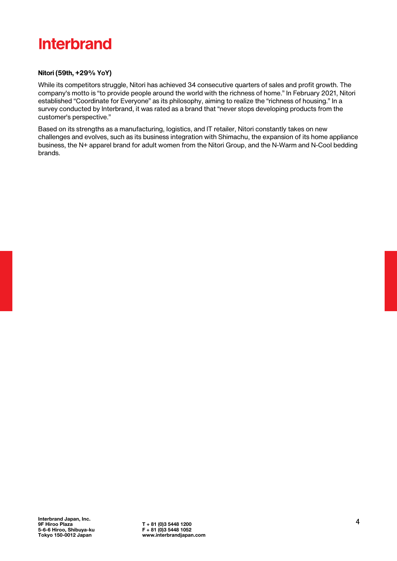#### **Nitori (59th, +29% YoY)**

While its competitors struggle, Nitori has achieved 34 consecutive quarters of sales and profit growth. The company's motto is "to provide people around the world with the richness of home." In February 2021, Nitori established "Coordinate for Everyone" as its philosophy, aiming to realize the "richness of housing." In a survey conducted by Interbrand, it was rated as a brand that "never stops developing products from the customer's perspective."

Based on its strengths as a manufacturing, logistics, and IT retailer, Nitori constantly takes on new challenges and evolves, such as its business integration with Shimachu, the expansion of its home appliance business, the N+ apparel brand for adult women from the Nitori Group, and the N-Warm and N-Cool bedding brands.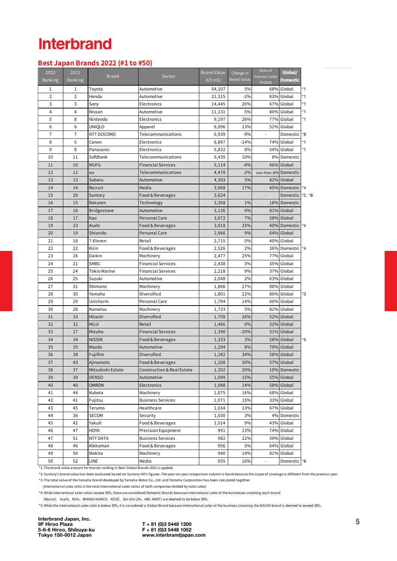### **BestJapanBrands2022 (#1 to#50)**

| 2022<br>Ranking | 2021<br>Ranking | <b>Brand</b>        | Sector                                | <b>Brand Value</b><br>$(US \, m\$ | Change in<br><b>Brand Value</b> | Ratio of<br>Overseas Sales<br>(FY2020) | Global/<br><b>Domestic</b> |         |
|-----------------|-----------------|---------------------|---------------------------------------|-----------------------------------|---------------------------------|----------------------------------------|----------------------------|---------|
| 1               | 1               | Toyota              | Automotive                            | 54,107                            | 5%                              |                                        | 68% Global                 | *1      |
| $\overline{2}$  | $\overline{2}$  | Honda               | Automotive                            | 21,315                            | $-2%$                           |                                        | 83% Global                 | *1      |
| 3               | 3               | Sony                | Electronics                           | 14,445                            | 20%                             |                                        | 67% Global                 | *1      |
| 4               | 4               | Nissan              | Automotive                            | 11,131                            | 5%                              |                                        | 80% Global                 | *1      |
| 5               | 8               | Nintendo            | Electronics                           | 9,197                             | 26%                             |                                        | 77% Global                 | *1      |
| 6               | 6               | <b>UNIQLO</b>       | Apparel                               | 9,096                             | 13%                             |                                        | 52% Global                 |         |
| $\overline{7}$  | 7               | NTT DOCOMO          | Telecommunications                    | 6,939                             | $-9%$                           | ÷                                      | Domestic                   | *8      |
| 8               | 5               | Canon               | Electronics                           | 6,897                             | $-14%$                          |                                        | 74% Global                 | *1      |
| 9               | 9               | Panasonic           | Electronics                           | 5,832                             | 0%                              |                                        | 54% Global                 | *1      |
| 10              | 11              | SoftBank            | Telecommunications                    | 5,435                             | 10%                             |                                        | 8% Domestic                |         |
| 11              | 10              | <b>MUFG</b>         | <b>Financial Services</b>             | 5,114                             | $-4%$                           |                                        | 46% Global                 |         |
| 12              | 12              | au                  | Telecommunications                    | 4,478                             | $-2%$                           | Less than 10% Domestic                 |                            |         |
| 13              | 13              | Subaru              | Automotive                            | 4,303                             | 5%                              |                                        | 82% Global                 |         |
| 14              | 14              | Recruit             | Media                                 | 3,968                             | 17%                             |                                        | 45% Domestic *4            |         |
| 15              | 20              | Suntory             | Food & Beverages                      | 3,624                             |                                 | $\blacksquare$                         | Domestic *2, *8            |         |
| 16              | 15              | Rakuten             | Technology                            | 3,358                             | 1%                              |                                        | 18% Domestic               |         |
| 17              | 16              | <b>Bridgestone</b>  | Automotive                            | 3,136                             | 0%                              |                                        | 81% Global                 |         |
| 18              | 17              | Kao                 | <b>Personal Care</b>                  | 3,072                             | 7%                              |                                        | 38% Global                 |         |
| 19              | 23              | Asahi               | Food & Beverages                      | 3,018                             | 25%                             |                                        | 40% Domestic               | $*_{4}$ |
| 20              | 19              | Shiseido            | <b>Personal Care</b>                  | 2,966                             | 9%                              |                                        | 64% Global                 |         |
| 21              | 18              | 7-Eleven            | Retail                                | 2,715                             | $-3%$                           |                                        | 40% Global                 |         |
| 22              | 22              | Kirin               | Food & Beverages                      | 2,526                             | 2%                              |                                        | 36% Domestic *4            |         |
| 23              | 26              | Daikin              | Machinery                             | 2,477                             | 25%                             |                                        | 77% Global                 |         |
| 24              | 21              | SMBC                | <b>Financial Services</b>             | 2,438                             | $-3%$                           |                                        | 35% Global                 |         |
| 25              | 24              | <b>Tokio Marine</b> | <b>Financial Services</b>             | 2,218                             | 9%                              |                                        | 37% Global                 |         |
| 26              | 25              | Suzuki              | Automotive                            | 2,048                             | 2%                              |                                        | 63% Global                 |         |
| 27              | 31              | Shimano             | Machinery                             | 1,866                             | 27%                             |                                        | 88% Global                 |         |
| 28              | 30              | Yamaha              | Diversified                           | 1,801                             | 22%                             |                                        | 86% Global                 | *3      |
| 29              | 29              | Unicharm            | Personal Care                         | 1,794                             | 14%                             |                                        | 60% Global                 |         |
| 30              | 28              | Komatsu             | Machinery                             | 1,733                             | 5%                              |                                        | 82% Global                 |         |
| 31              | 33              | Hitachi             | Diversified                           | 1,709                             | 26%                             |                                        | 52% Global                 |         |
| 32              | 32              | <b>MUJI</b>         | Retail                                | 1,466                             | 0%                              |                                        | 32% Global                 |         |
| 33              | 27              | Mizuho              | <b>Financial Services</b>             | 1,390                             | $-20%$                          |                                        | 31% Global                 |         |
| 34              | 34              | <b>NISSIN</b>       | Food & Beverages                      | 1,333                             | 3%                              |                                        | 28% Global                 | *5      |
| 35              | 35              | Mazda               | Automotive                            | 1,294                             | 8%                              |                                        | 79% Global                 |         |
| 36              | 38              | Fujifilm            | Diversified                           | 1,282                             | 34%                             |                                        | 58% Global                 |         |
| 37              | 43              | Ajinomoto           | Food & Beverages                      | 1,208                             | 30%                             |                                        | 57% Global                 |         |
| 38              | 37              | Mitsubishi Estate   | <b>Construction &amp; Real Estate</b> | 1,202                             | 20%                             |                                        | 10% Domestic               |         |
| 39              | 39              | <b>DENSO</b>        | Automotive                            | 1,099                             | 15%                             |                                        | 55% Global                 |         |
| 40              | 40              | <b>OMRON</b>        | Electronics                           | 1,088                             | 14%                             |                                        | 58% Global                 |         |
| 41              | 44              | Kubota              | Machinery                             | 1,075                             | 16%                             |                                        | 68% Global                 |         |
| 42              | 41              | Fujitsu             | <b>Business Services</b>              | 1,071                             | 15%                             |                                        | 33% Global                 |         |
| 43              | 45              | Terumo              | Healthcare                            | 1,034                             | 13%                             |                                        | 67% Global                 |         |
| 44              | 36              | <b>SECOM</b>        | Security                              | 1,030                             | 3%                              |                                        | 4% Domestic                |         |
| 45              | 42              | Yakult              | Food & Beverages                      | 1,014                             | 9%                              |                                        | 43% Global                 |         |
| 46              | 47              | HOYA                | Precision Equipment                   | 991                               | 13%                             |                                        | 74% Global                 |         |
| 47              | 51              | NTT DATA            | <b>Business Services</b>              | 982                               | 22%                             |                                        | 39% Global                 |         |
| 48              | 46              | Kikkoman            | Food & Beverages                      | 956                               | 5%                              |                                        | 64% Global                 |         |
| 49              | 50              | Makita              | Machinery                             | 940                               | 14%                             |                                        | 81% Global                 |         |
| 50              | 52              | LINE                | Media                                 | 935                               | 16%                             |                                        | Domestic                   | $*8$    |

\*1: The brand value amount for brands ranking in Best Global Brands 2021 is applied.

\*2: Suntory's brand value has been evaluated based on Suntory HD's figures. The year-on-year comparison column is blank because the scope of coverage is different from the previous year. \*3: The total value of the Yamaha brand developed by Yamaha Motor Co., Ltd. and Yamaha Corporation has been calculated together.

(International sales ratio is the total international sales ratios of both companies divided by total sales)

\*4: While international sales ratios exceed 30%, these are considered Domestic Brands because international sales of the businesses crowning each brand

(Recruit、 Asahi、Kirin、BANDAI NAMCO、KOSÉ、Dai-ichi Life、ABC-MART) are deemed to be below 30%.

\*5: While the international sales ratio is below 30%, it is considered a Global Brand because international sales of the business crowning the NISSIN brand is deemed to exceed 30%.

Interbrand Japan, Inc. 9F Hiroo Plaza T + 81 (0)3 5448 1200 5-6-6 Hiroo, Shibuya-ku F + 81 (0)3 5448 1052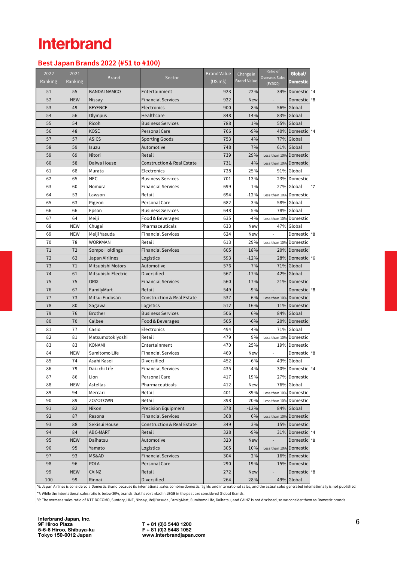### **BestJapanBrands2022(#51 to#100)**

| 2022<br>Ranking | 2021<br>Ranking | <b>Brand</b>        | Sector                                | <b>Brand Value</b><br>$(US \, m\$ | Change in<br><b>Brand Value</b> | Ratio of<br>Overseas Sales<br>(FY2020) | Global/<br>Domestic      |      |
|-----------------|-----------------|---------------------|---------------------------------------|-----------------------------------|---------------------------------|----------------------------------------|--------------------------|------|
| 51              | 55              | <b>BANDAI NAMCO</b> | Entertainment                         | 923                               | 22%                             |                                        | 34% Domestic 1*4         |      |
| 52              | <b>NEW</b>      | Nissay              | <b>Financial Services</b>             | 922                               | New                             |                                        | Domestic <sup>1</sup> *8 |      |
| 53              | 49              | <b>KEYENCE</b>      | Electronics                           | 900                               | 8%                              |                                        | 56% Global               |      |
| 54              | 56              | Olympus             | Healthcare                            | 848                               | 14%                             |                                        | 83% Global               |      |
| 55              | 54              | Ricoh               | <b>Business Services</b>              | 788                               | 1%                              |                                        | 55% Global               |      |
| 56              | 48              | KOSÉ                | <b>Personal Care</b>                  | 766                               | $-9%$                           |                                        | 40% Domestic *4          |      |
| 57              | 57              | <b>ASICS</b>        | <b>Sporting Goods</b>                 | 753                               | 4%                              |                                        | 77% Global               |      |
| 58              | 59              | Isuzu               | Automotive                            | 748                               | 7%                              |                                        | 61% Global               |      |
| 59              | 69              | Nitori              | Retail                                | 739                               | 29%                             | Less than 10% Domestic                 |                          |      |
| 60              | 58              | Daiwa House         | <b>Construction &amp; Real Estate</b> | 731                               | 4%                              | Less than 10% Domestic                 |                          |      |
| 61              | 68              | Murata              | Electronics                           | 728                               | 25%                             |                                        | 91% Global               |      |
| 62              | 65              | <b>NEC</b>          | <b>Business Services</b>              | 701                               | 13%                             |                                        | 23% Domestic             |      |
| 63              | 60              | Nomura              | <b>Financial Services</b>             | 699                               | 1%                              |                                        | 27% Global               | $*7$ |
| 64              | 53              | Lawson              | Retail                                | 694                               | $-12%$                          | Less than 10% Domestic                 |                          |      |
| 65              | 63              | Pigeon              | Personal Care                         | 682                               | 3%                              |                                        | 58% Global               |      |
| 66              | 66              | Epson               | <b>Business Services</b>              | 648                               | 5%                              |                                        | 78% Global               |      |
| 67              | 64              | Meiji               | Food & Beverages                      | 635                               | $-4%$                           | Less than 10% Domestic                 |                          |      |
| 68              | <b>NEW</b>      | Chugai              | Pharmaceuticals                       | 633                               | New                             |                                        | 47% Global               |      |
| 69              | <b>NEW</b>      | Meiji Yasuda        | <b>Financial Services</b>             | 624                               | New                             |                                        | Domestic <sup>*8</sup>   |      |
| 70              | 78              | WORKMAN             | Retail                                | 613                               | 29%                             | Less than 10% Domestic                 |                          |      |
| 71              | 72              | Sompo Holdings      | <b>Financial Services</b>             | 605                               | 18%                             |                                        | 20% Domestic             |      |
| 72              | 62              | Japan Airlines      | Logistics                             | 593                               | $-12%$                          |                                        | 28% Domestic *6          |      |
| 73              | 71              | Mitsubishi Motors   | Automotive                            | 576                               | 7%                              |                                        | 71% Global               |      |
| 74              | 61              | Mitsubishi Electric | Diversified                           | 567                               | $-17%$                          |                                        | 42% Global               |      |
| 75              | 75              | <b>ORIX</b>         | <b>Financial Services</b>             | 560                               | 17%                             |                                        | 21% Domestic             |      |
| 76              | 67              | FamilyMart          | Retail                                | 549                               | $-9%$                           | $\overline{a}$                         | Domestic *8              |      |
| 77              | 73              | Mitsui Fudosan      | <b>Construction &amp; Real Estate</b> | 537                               | 6%                              | Less than 10% Domestic                 |                          |      |
| 78              | 80              | Sagawa              | Logistics                             | 512                               | 16%                             |                                        | 11% Domestic             |      |
| 79              | 76              | Brother             | <b>Business Services</b>              | 506                               | 6%                              | 84%                                    | Global                   |      |
| 80              | 70              | Calbee              | Food & Beverages                      | 505                               | $-6%$                           |                                        | 20% Domestic             |      |
| 81              | 77              | Casio               | Electronics                           | 494                               | 4%                              |                                        | 71% Global               |      |
| 82              | 81              | Matsumotokiyoshi    | Retail                                | 479                               | 9%                              | Less than 10% Domestic                 |                          |      |
| 83              | 83              | <b>KONAMI</b>       | Entertainment                         | 470                               | 25%                             |                                        | 19% Domestic             |      |
| 84              | <b>NEW</b>      | Sumitomo Life       | <b>Financial Services</b>             | 469                               | New                             | $\overline{\phantom{a}}$               | Domestic <sup>+8</sup>   |      |
| 85              | 74              | Asahi Kasei         | Diversified                           | 452                               | $-6%$                           |                                        | 43% Global               |      |
| 86              | 79              | Dai-ichi Life       | <b>Financial Services</b>             | 435                               | $-4%$                           |                                        | 30% Domestic *4          |      |
| 87              | 86              | Lion                | Personal Care                         | 417                               | 19%                             |                                        | 27% Domestic             |      |
| 88              | NEW             | Astellas            | Pharmaceuticals                       | 412                               | New                             |                                        | 76% Global               |      |
| 89              | 94              | Mercari             | Retail                                | 401                               | 39%                             | Less than 10% Domestic                 |                          |      |
| 90              | 89              | ZOZOTOWN            | Retail                                | 398                               | 20%                             | Less than 10% Domestic                 |                          |      |
| 91              | 82              | Nikon               | <b>Precision Equipment</b>            | 378                               | $-12%$                          |                                        | 84% Global               |      |
| 92              | 87              | Resona              | <b>Financial Services</b>             | 368                               | 6%                              | Less than 10% Domestic                 |                          |      |
| 93              | 88              | Sekisui House       | <b>Construction &amp; Real Estate</b> | 349                               | 3%                              |                                        | 15% Domestic             |      |
| 94              | 84              | ABC-MART            | Retail                                | 328                               | $-9%$                           |                                        | 31% Domestic *4          |      |
| 95              | <b>NEW</b>      | Daihatsu            | Automotive                            | 320                               | <b>New</b>                      |                                        | Domestic <sup>*8</sup>   |      |
| 96              | 95              | Yamato              | Logistics                             | 305                               | 10%                             | Less than 10% Domestic                 |                          |      |
| 97              | 93              | MS&AD               | <b>Financial Services</b>             | 304                               | 2%                              |                                        | 16% Domestic             |      |
| 98              | 96              | POLA                | Personal Care                         | 290                               | 19%                             |                                        | 15% Domestic             |      |
| 99              | <b>NEW</b>      | CAINZ               | Retail                                | 272                               | <b>New</b>                      | $\overline{\phantom{a}}$               | Domestic <sup>*8</sup>   |      |
| 100             | 99              | Rinnai              | Diversified                           | 264                               | 28%                             |                                        | 49% Global               |      |

\*6: Japan Airlines is considered a Domestic Brand because its international sales combine domestic flights and international sales, and the actual sales generated internationally is not published. .<br>\*7: While the international sales ratio is below 30%, brands that have ranked in JBGB in the past are considered Global Brands.

\*8: The overseas sales ratio of NTT DOCOMO, Suntory, LINE, Nissay, Meiji Yasuda, FamilyMart, Sumitomo Life, Daihatsu, and CAINZ is not disclosed, so we consider them as Domestic brands.

Interbrand Japan, Inc. 9F Hiroo Plaza T + 81 (0)3 5448 1200 5-6-6 Hiroo, Shibuya-ku F + 81 (0)3 5448 1052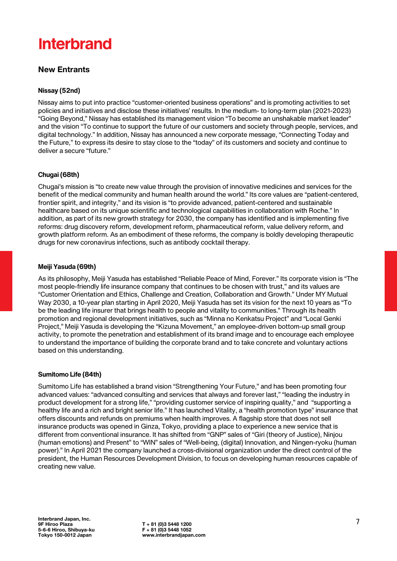### New Entrants

#### **Nissay (52nd)**

Nissay aims to put into practice "customer-oriented business operations" and is promoting activities to set policies and initiatives and disclose these initiatives' results. In the medium- to long-term plan (2021-2023) "Going Beyond," Nissay has established its management vision "To become an unshakable market leader" and the vision "To continue to support the future of our customers and society through people, services, and digital technology." In addition, Nissay has announced a new corporate message, "Connecting Today and the Future," to express its desire to stay close to the "today" of its customers and society and continue to deliver a secure "future."

#### **Chugai (68th)**

Chugai's mission is "to create new value through the provision of innovative medicines and services for the benefit of the medical community and human health around the world." Its core values are "patient-centered, frontier spirit, and integrity," and its vision is "to provide advanced, patient-centered and sustainable healthcare based on its unique scientific and technological capabilities in collaboration with Roche." In addition, as part of its new growth strategy for 2030, the company has identified and is implementing five reforms: drug discovery reform, development reform, pharmaceutical reform, value delivery reform, and growth platform reform. As an embodiment of these reforms, the company is boldly developing therapeutic drugs for new coronavirus infections, such as antibody cocktail therapy.

#### **Meiji Yasuda (69th)**

As its philosophy, Meiji Yasuda has established "Reliable Peace of Mind, Forever." Its corporate vision is "The most people-friendly life insurance company that continues to be chosen with trust," and its values are "Customer Orientation and Ethics, Challenge and Creation, Collaboration and Growth." Under MY Mutual Way 2030, a 10-year plan starting in April 2020, Meiji Yasuda has set its vision for the next 10 years as "To be the leading life insurer that brings health to people and vitality to communities." Through its health promotion and regional development initiatives, such as "Minna no Kenkatsu Project" and "Local Genki Project," Meiji Yasuda is developing the "Kizuna Movement," an employee-driven bottom-up small group activity, to promote the penetration and establishment of its brand image and to encourage each employee to understand the importance of building the corporate brand and to take concrete and voluntary actions based on this understanding.

#### **Sumitomo Life (84th)**

Sumitomo Life has established a brand vision "Strengthening Your Future," and has been promoting four advanced values: "advanced consulting and services that always and forever last," "leading the industry in product development for a strong life," "providing customer service of inspiring quality," and "supporting a healthy life and a rich and bright senior life." It has launched Vitality, a "health promotion type" insurance that offers discounts and refunds on premiums when health improves. A flagship store that does not sell insurance products was opened in Ginza, Tokyo, providing a place to experience a new service that is different from conventional insurance. It has shifted from "GNP" sales of "Giri (theory of Justice), Ninjou (human emotions) and Present" to "WIN" sales of "Well-being, (digital) Innovation, and Ningen-ryoku (human power)." In April 2021 the company launched a cross-divisional organization under the direct control of the president, the Human Resources Development Division, to focus on developing human resources capable of creating new value.

 $T + 81$  (0)3 5448 1200<br>F + 81 (0)3 5448 1052 www.interbrandiapan.com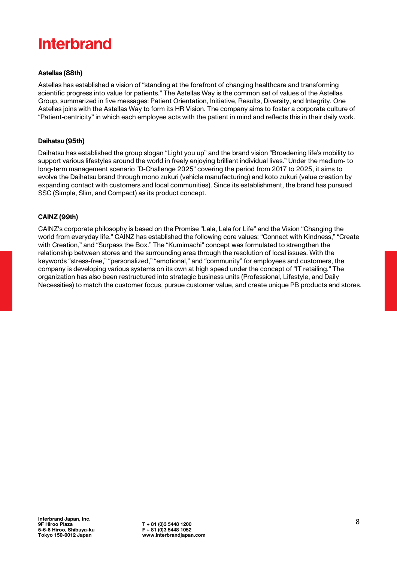#### **Astellas (88th)**

Astellas has established a vision of "standing at the forefront of changing healthcare and transforming scientific progress into value for patients." The Astellas Way is the common set of values of the Astellas Group, summarized in five messages: Patient Orientation, Initiative, Results, Diversity, and Integrity. One Astellas joins with the Astellas Way to form its HR Vision. The company aims to foster a corporate culture of "Patient-centricity" in which each employee acts with the patient in mind and reflects this in their daily work.

#### **Daihatsu (95th)**

Daihatsu has established the group slogan "Light you up" and the brand vision "Broadening life's mobility to support various lifestyles around the world in freely enjoying brilliant individual lives." Under the medium- to long-term management scenario "D-Challenge 2025" covering the period from 2017 to 2025, it aims to evolve the Daihatsu brand through mono zukuri (vehicle manufacturing) and koto zukuri (value creation by expanding contact with customers and local communities). Since its establishment, the brand has pursued SSC (Simple, Slim, and Compact) as its product concept.

#### **CAINZ (99th)**

CAINZ's corporate philosophy is based on the Promise "Lala, Lala for Life" and the Vision "Changing the world from everyday life." CAINZ has established the following core values: "Connect with Kindness," "Create with Creation," and "Surpass the Box." The "Kumimachi" concept was formulated to strengthen the relationship between stores and the surrounding area through the resolution of local issues. With the keywords "stress-free," "personalized," "emotional," and "community" for employees and customers, the company is developing various systems on its own at high speed under the concept of "IT retailing." The organization has also been restructured into strategic business units (Professional, Lifestyle, and Daily Necessities) to match the customer focus, pursue customer value, and create unique PB products and stores.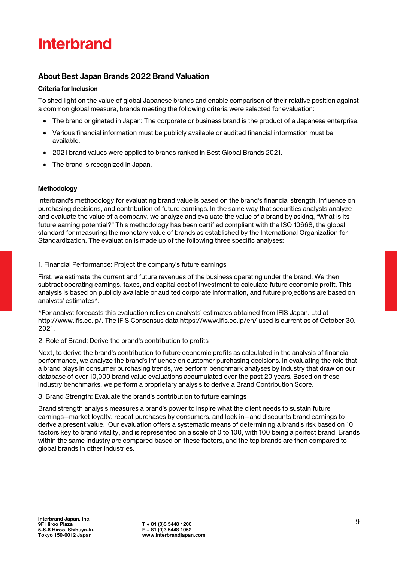### **About Best Japan Brands 2022 Brand Valuation**

#### **Criteria for Inclusion**

To shed light on the value of global Japanese brands and enable comparison of their relative position against a common global measure, brands meeting the following criteria were selected for evaluation:

- The brand originated in Japan: The corporate or business brand is the product of a Japanese enterprise.
- Various financial information must be publicly available or audited financial information must be available.
- 2021 brand values were applied to brands ranked in Best Global Brands 2021.
- The brand is recognized in Japan.

#### **Methodology**

Interbrand's methodology for evaluating brand value is based on the brand's financial strength, influence on purchasing decisions, and contribution of future earnings. In the same way that securities analysts analyze and evaluate the value of a company, we analyze and evaluate the value of a brand by asking, "What is its future earning potential?" This methodology has been certified compliant with the ISO 10668, the global standard for measuring the monetary value of brands as established by the International Organization for Standardization. The evaluation is made up of the following three specific analyses:

#### 1. Financial Performance: Project the company's future earnings

First, we estimate the current and future revenues of the business operating under the brand. We then subtract operating earnings, taxes, and capital cost of investment to calculate future economic profit. This analysis is based on publicly available or audited corporate information, and future projections are based on analysts' estimates\*.

\*For analyst forecasts this evaluation relies on analysts' estimates obtained from IFIS Japan, Ltd at [http://www.ifis.co.jp/.](http://www.ifis.co.jp/) The IFIS Consensus data <https://www.ifis.co.jp/en/> used is current as of October 30, 2021.

#### 2. Role of Brand: Derive the brand's contribution to profits

Next, to derive the brand's contribution to future economic profits as calculated in the analysis of financial performance, we analyze the brand's influence on customer purchasing decisions. In evaluating the role that a brand plays in consumer purchasing trends, we perform benchmark analyses by industry that draw on our database of over 10,000 brand value evaluations accumulated over the past 20 years. Based on these industry benchmarks, we perform a proprietary analysis to derive a Brand Contribution Score.

#### 3. Brand Strength: Evaluate the brand's contribution to future earnings

Brand strength analysis measures a brand's power to inspire what the client needs to sustain future earnings—market loyalty, repeat purchases by consumers, and lock in—and discounts brand earnings to derive a present value. Our evaluation offers a systematic means of determining a brand's risk based on 10 factors key to brand vitality, and is represented on a scale of 0 to 100, with 100 being a perfect brand. Brands within the same industry are compared based on these factors, and the top brands are then compared to global brands in other industries.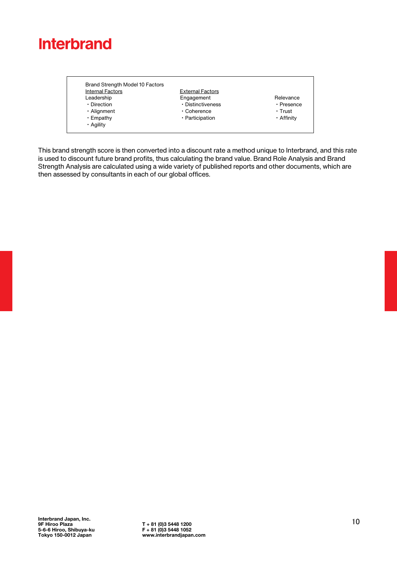| <b>Internal Factors</b> | <b>External Factors</b> |            |
|-------------------------|-------------------------|------------|
| Leadership              | Engagement              | Relevance  |
| • Direction             | · Distinctiveness       | • Presence |
| · Alignment             | • Coherence             | ∙ Trust    |
| • Empathy               | · Participation         | • Affinity |
| • Agility               |                         |            |

This brand strength score is then converted into a discount rate a method unique to Interbrand, and this rate is used to discount future brand profits, thus calculating the brand value. Brand Role Analysis and Brand Strength Analysis are calculated using a wide variety of published reports and other documents, which are then assessed by consultants in each of our global offices.